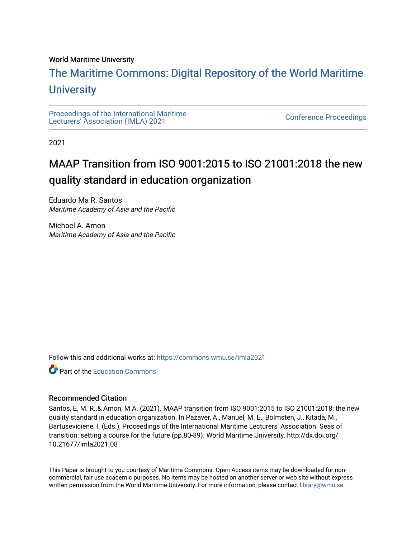### World Maritime University

# [The Maritime Commons: Digital Repository of the World Maritime](https://commons.wmu.se/)  **University**

[Proceedings of the International Maritime](https://commons.wmu.se/imla2021)  Proceedings of the international manufacture<br>[Lecturers' Association \(IMLA\) 2021](https://commons.wmu.se/imla2021)

2021

# MAAP Transition from ISO 9001:2015 to ISO 21001:2018 the new quality standard in education organization

Eduardo Ma R. Santos Maritime Academy of Asia and the Pacific

Michael A. Amon Maritime Academy of Asia and the Pacific

Follow this and additional works at: [https://commons.wmu.se/imla2021](https://commons.wmu.se/imla2021?utm_source=commons.wmu.se%2Fimla2021%2F9&utm_medium=PDF&utm_campaign=PDFCoverPages)

Part of the [Education Commons](http://network.bepress.com/hgg/discipline/784?utm_source=commons.wmu.se%2Fimla2021%2F9&utm_medium=PDF&utm_campaign=PDFCoverPages)

#### Recommended Citation

Santos, E. M. R..& Amon, M.A. (2021). MAAP transition from ISO 9001:2015 to ISO 21001:2018: the new quality standard in education organization. In Pazaver, A., Manuel, M. E., Bolmsten, J., Kitada, M., Bartuseviciene, I. (Eds.), Proceedings of the International Maritime Lecturers' Association. Seas of transition: setting a course for the future (pp.80-89). World Maritime University. http://dx.doi.org/ 10.21677/imla2021.08

This Paper is brought to you courtesy of Maritime Commons. Open Access items may be downloaded for noncommercial, fair use academic purposes. No items may be hosted on another server or web site without express written permission from the World Maritime University. For more information, please contact [library@wmu.se](mailto:library@wmu.edu).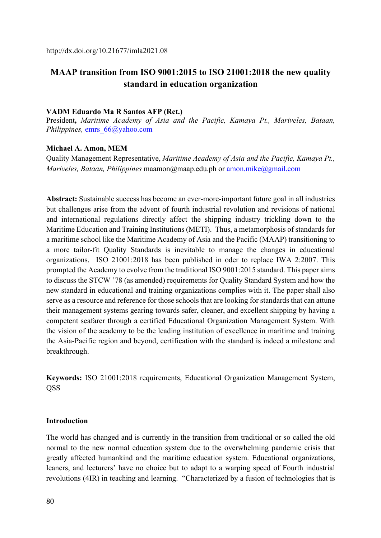# **MAAP transition from ISO 9001:2015 to ISO 21001:2018 the new quality standard in education organization**

#### **VADM Eduardo Ma R Santos AFP (Ret.)**

President**,** *Maritime Academy of Asia and the Pacific, Kamaya Pt., Mariveles, Bataan, Philippines,* emrs\_66@yahoo.com

#### **Michael A. Amon, MEM**

Quality Management Representative, *Maritime Academy of Asia and the Pacific, Kamaya Pt., Mariveles, Bataan, Philippines* maamon@maap.edu.ph or amon.mike@gmail.com

**Abstract:** Sustainable success has become an ever-more-important future goal in all industries but challenges arise from the advent of fourth industrial revolution and revisions of national and international regulations directly affect the shipping industry trickling down to the Maritime Education and Training Institutions (METI). Thus, a metamorphosis of standards for a maritime school like the Maritime Academy of Asia and the Pacific (MAAP) transitioning to a more tailor-fit Quality Standards is inevitable to manage the changes in educational organizations. ISO 21001:2018 has been published in oder to replace IWA 2:2007. This prompted the Academy to evolve from the traditional ISO 9001:2015 standard. This paper aims to discuss the STCW '78 (as amended) requirements for Quality Standard System and how the new standard in educational and training organizations complies with it. The paper shall also serve as a resource and reference for those schools that are looking for standards that can attune their management systems gearing towards safer, cleaner, and excellent shipping by having a competent seafarer through a certified Educational Organization Management System. With the vision of the academy to be the leading institution of excellence in maritime and training the Asia-Pacific region and beyond, certification with the standard is indeed a milestone and breakthrough.

**Keywords:** ISO 21001:2018 requirements, Educational Organization Management System, **OSS** 

### **Introduction**

The world has changed and is currently in the transition from traditional or so called the old normal to the new normal education system due to the overwhelming pandemic crisis that greatly affected humankind and the maritime education system. Educational organizations, leaners, and lecturers' have no choice but to adapt to a warping speed of Fourth industrial revolutions (4IR) in teaching and learning. "Characterized by a fusion of technologies that is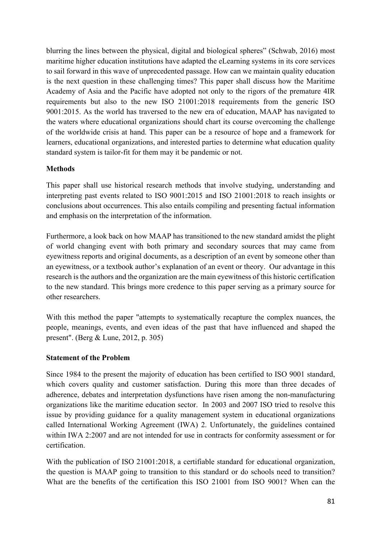blurring the lines between the physical, digital and biological spheres" (Schwab, 2016) most maritime higher education institutions have adapted the eLearning systems in its core services to sail forward in this wave of unprecedented passage. How can we maintain quality education is the next question in these challenging times? This paper shall discuss how the Maritime Academy of Asia and the Pacific have adopted not only to the rigors of the premature 4IR requirements but also to the new ISO 21001:2018 requirements from the generic ISO 9001:2015. As the world has traversed to the new era of education, MAAP has navigated to the waters where educational organizations should chart its course overcoming the challenge of the worldwide crisis at hand. This paper can be a resource of hope and a framework for learners, educational organizations, and interested parties to determine what education quality standard system is tailor-fit for them may it be pandemic or not.

# **Methods**

This paper shall use historical research methods that involve studying, understanding and interpreting past events related to ISO 9001:2015 and ISO 21001:2018 to reach insights or conclusions about occurrences. This also entails compiling and presenting factual information and emphasis on the interpretation of the information.

Furthermore, a look back on how MAAP has transitioned to the new standard amidst the plight of world changing event with both primary and secondary sources that may came from eyewitness reports and original documents, as a description of an event by someone other than an eyewitness, or a textbook author's explanation of an event or theory. Our advantage in this research is the authors and the organization are the main eyewitness of this historic certification to the new standard. This brings more credence to this paper serving as a primary source for other researchers.

With this method the paper "attempts to systematically recapture the complex nuances, the people, meanings, events, and even ideas of the past that have influenced and shaped the present". (Berg & Lune, 2012, p. 305)

## **Statement of the Problem**

Since 1984 to the present the majority of education has been certified to ISO 9001 standard, which covers quality and customer satisfaction. During this more than three decades of adherence, debates and interpretation dysfunctions have risen among the non-manufacturing organizations like the maritime education sector. In 2003 and 2007 ISO tried to resolve this issue by providing guidance for a quality management system in educational organizations called International Working Agreement (IWA) 2. Unfortunately, the guidelines contained within IWA 2:2007 and are not intended for use in contracts for conformity assessment or for certification.

With the publication of ISO 21001:2018, a certifiable standard for educational organization, the question is MAAP going to transition to this standard or do schools need to transition? What are the benefits of the certification this ISO 21001 from ISO 9001? When can the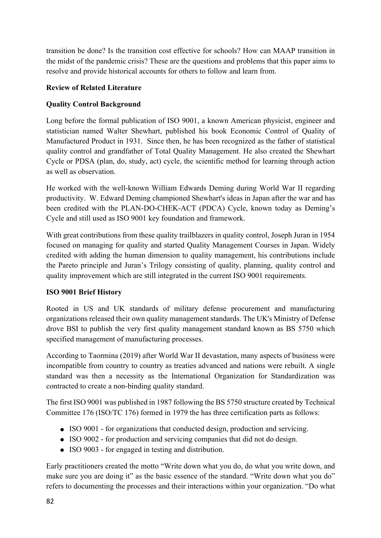transition be done? Is the transition cost effective for schools? How can MAAP transition in the midst of the pandemic crisis? These are the questions and problems that this paper aims to resolve and provide historical accounts for others to follow and learn from.

# **Review of Related Literature**

# **Quality Control Background**

Long before the formal publication of ISO 9001, a known American physicist, engineer and statistician named Walter Shewhart, published his book Economic Control of Quality of Manufactured Product in 1931. Since then, he has been recognized as the father of statistical quality control and grandfather of Total Quality Management. He also created the Shewhart Cycle or PDSA (plan, do, study, act) cycle, the scientific method for learning through action as well as observation.

He worked with the well-known William Edwards Deming during World War II regarding productivity. W. Edward Deming championed Shewhart's ideas in Japan after the war and has been credited with the PLAN-DO-CHEK-ACT (PDCA) Cycle, known today as Deming's Cycle and still used as ISO 9001 key foundation and framework.

With great contributions from these quality trailblazers in quality control, Joseph Juran in 1954 focused on managing for quality and started Quality Management Courses in Japan. Widely credited with adding the human dimension to quality management, his contributions include the Pareto principle and Juran's Trilogy consisting of quality, planning, quality control and quality improvement which are still integrated in the current ISO 9001 requirements.

# **ISO 9001 Brief History**

Rooted in US and UK standards of military defense procurement and manufacturing organizations released their own quality management standards. The UK's Ministry of Defense drove BSI to publish the very first quality management standard known as BS 5750 which specified management of manufacturing processes.

According to Taormina (2019) after World War II devastation, many aspects of business were incompatible from country to country as treaties advanced and nations were rebuilt. A single standard was then a necessity as the International Organization for Standardization was contracted to create a non-binding quality standard.

The first ISO 9001 was published in 1987 following the BS 5750 structure created by Technical Committee 176 (ISO/TC 176) formed in 1979 the has three certification parts as follows:

- ISO 9001 for organizations that conducted design, production and servicing.
- ISO 9002 for production and servicing companies that did not do design.
- ISO 9003 for engaged in testing and distribution.

Early practitioners created the motto "Write down what you do, do what you write down, and make sure you are doing it" as the basic essence of the standard. "Write down what you do" refers to documenting the processes and their interactions within your organization. "Do what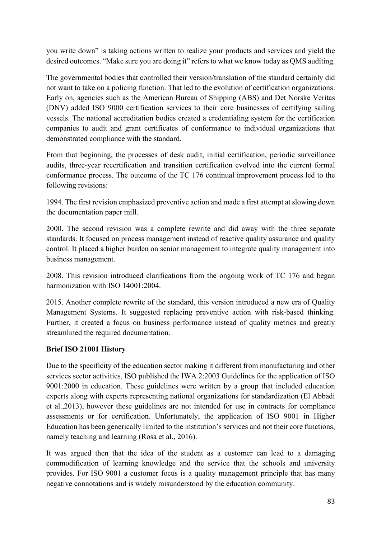you write down" is taking actions written to realize your products and services and yield the desired outcomes. "Make sure you are doing it" refers to what we know today as QMS auditing.

The governmental bodies that controlled their version/translation of the standard certainly did not want to take on a policing function. That led to the evolution of certification organizations. Early on, agencies such as the American Bureau of Shipping (ABS) and Det Norske Veritas (DNV) added ISO 9000 certification services to their core businesses of certifying sailing vessels. The national accreditation bodies created a credentialing system for the certification companies to audit and grant certificates of conformance to individual organizations that demonstrated compliance with the standard.

From that beginning, the processes of desk audit, initial certification, periodic surveillance audits, three-year recertification and transition certification evolved into the current formal conformance process. The outcome of the TC 176 continual improvement process led to the following revisions:

1994. The first revision emphasized preventive action and made a first attempt at slowing down the documentation paper mill.

2000. The second revision was a complete rewrite and did away with the three separate standards. It focused on process management instead of reactive quality assurance and quality control. It placed a higher burden on senior management to integrate quality management into business management.

2008. This revision introduced clarifications from the ongoing work of TC 176 and began harmonization with ISO 14001:2004.

2015. Another complete rewrite of the standard, this version introduced a new era of Quality Management Systems. It suggested replacing preventive action with risk-based thinking. Further, it created a focus on business performance instead of quality metrics and greatly streamlined the required documentation.

# **Brief ISO 21001 History**

Due to the specificity of the education sector making it different from manufacturing and other services sector activities, ISO published the IWA 2:2003 Guidelines for the application of ISO 9001:2000 in education. These guidelines were written by a group that included education experts along with experts representing national organizations for standardization (El Abbadi et al.,2013), however these guidelines are not intended for use in contracts for compliance assessments or for certification. Unfortunately, the application of ISO 9001 in Higher Education has been generically limited to the institution's services and not their core functions, namely teaching and learning (Rosa et al., 2016).

It was argued then that the idea of the student as a customer can lead to a damaging commodification of learning knowledge and the service that the schools and university provides. For ISO 9001 a customer focus is a quality management principle that has many negative connotations and is widely misunderstood by the education community.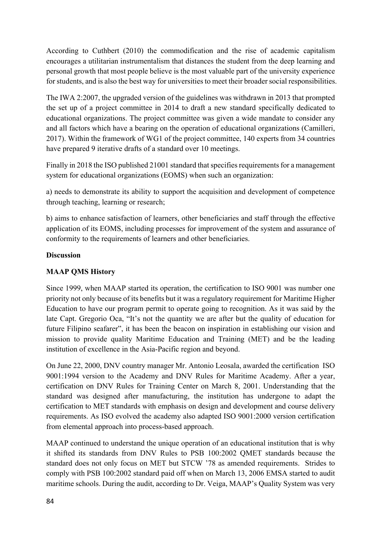According to Cuthbert (2010) the commodification and the rise of academic capitalism encourages a utilitarian instrumentalism that distances the student from the deep learning and personal growth that most people believe is the most valuable part of the university experience for students, and is also the best way for universities to meet their broader social responsibilities.

The IWA 2:2007, the upgraded version of the guidelines was withdrawn in 2013 that prompted the set up of a project committee in 2014 to draft a new standard specifically dedicated to educational organizations. The project committee was given a wide mandate to consider any and all factors which have a bearing on the operation of educational organizations (Camilleri, 2017). Within the framework of WG1 of the project committee, 140 experts from 34 countries have prepared 9 iterative drafts of a standard over 10 meetings.

Finally in 2018 the ISO published 21001 standard that specifies requirements for a management system for educational organizations (EOMS) when such an organization:

a) needs to demonstrate its ability to support the acquisition and development of competence through teaching, learning or research;

b) aims to enhance satisfaction of learners, other beneficiaries and staff through the effective application of its EOMS, including processes for improvement of the system and assurance of conformity to the requirements of learners and other beneficiaries.

# **Discussion**

# **MAAP QMS History**

Since 1999, when MAAP started its operation, the certification to ISO 9001 was number one priority not only because of its benefits but it was a regulatory requirement for Maritime Higher Education to have our program permit to operate going to recognition. As it was said by the late Capt. Gregorio Oca, "It's not the quantity we are after but the quality of education for future Filipino seafarer", it has been the beacon on inspiration in establishing our vision and mission to provide quality Maritime Education and Training (MET) and be the leading institution of excellence in the Asia-Pacific region and beyond.

On June 22, 2000, DNV country manager Mr. Antonio Leosala, awarded the certification ISO 9001:1994 version to the Academy and DNV Rules for Maritime Academy. After a year, certification on DNV Rules for Training Center on March 8, 2001. Understanding that the standard was designed after manufacturing, the institution has undergone to adapt the certification to MET standards with emphasis on design and development and course delivery requirements. As ISO evolved the academy also adapted ISO 9001:2000 version certification from elemental approach into process-based approach.

MAAP continued to understand the unique operation of an educational institution that is why it shifted its standards from DNV Rules to PSB 100:2002 QMET standards because the standard does not only focus on MET but STCW '78 as amended requirements. Strides to comply with PSB 100:2002 standard paid off when on March 13, 2006 EMSA started to audit maritime schools. During the audit, according to Dr. Veiga, MAAP's Quality System was very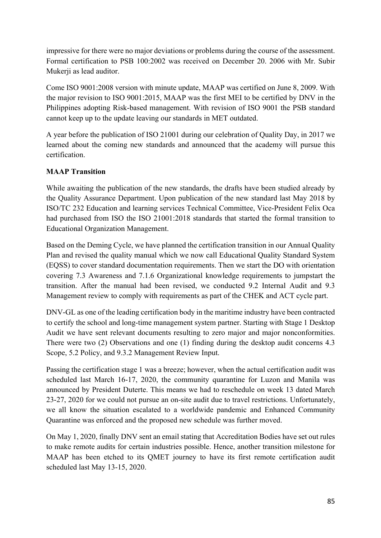impressive for there were no major deviations or problems during the course of the assessment. Formal certification to PSB 100:2002 was received on December 20. 2006 with Mr. Subir Mukerji as lead auditor.

Come ISO 9001:2008 version with minute update, MAAP was certified on June 8, 2009. With the major revision to ISO 9001:2015, MAAP was the first MEI to be certified by DNV in the Philippines adopting Risk-based management. With revision of ISO 9001 the PSB standard cannot keep up to the update leaving our standards in MET outdated.

A year before the publication of ISO 21001 during our celebration of Quality Day, in 2017 we learned about the coming new standards and announced that the academy will pursue this certification.

# **MAAP Transition**

While awaiting the publication of the new standards, the drafts have been studied already by the Quality Assurance Department. Upon publication of the new standard last May 2018 by ISO/TC 232 Education and learning services Technical Committee, Vice-President Felix Oca had purchased from ISO the ISO 21001:2018 standards that started the formal transition to Educational Organization Management.

Based on the Deming Cycle, we have planned the certification transition in our Annual Quality Plan and revised the quality manual which we now call Educational Quality Standard System (EQSS) to cover standard documentation requirements. Then we start the DO with orientation covering 7.3 Awareness and 7.1.6 Organizational knowledge requirements to jumpstart the transition. After the manual had been revised, we conducted 9.2 Internal Audit and 9.3 Management review to comply with requirements as part of the CHEK and ACT cycle part.

DNV-GL as one of the leading certification body in the maritime industry have been contracted to certify the school and long-time management system partner. Starting with Stage 1 Desktop Audit we have sent relevant documents resulting to zero major and major nonconformities. There were two (2) Observations and one (1) finding during the desktop audit concerns 4.3 Scope, 5.2 Policy, and 9.3.2 Management Review Input.

Passing the certification stage 1 was a breeze; however, when the actual certification audit was scheduled last March 16-17, 2020, the community quarantine for Luzon and Manila was announced by President Duterte. This means we had to reschedule on week 13 dated March 23-27, 2020 for we could not pursue an on-site audit due to travel restrictions. Unfortunately, we all know the situation escalated to a worldwide pandemic and Enhanced Community Quarantine was enforced and the proposed new schedule was further moved.

On May 1, 2020, finally DNV sent an email stating that Accreditation Bodies have set out rules to make remote audits for certain industries possible. Hence, another transition milestone for MAAP has been etched to its QMET journey to have its first remote certification audit scheduled last May 13-15, 2020.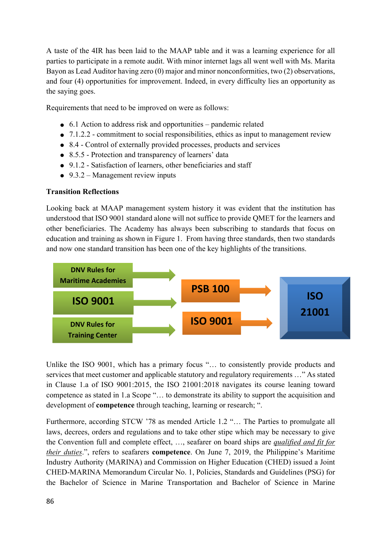A taste of the 4IR has been laid to the MAAP table and it was a learning experience for all parties to participate in a remote audit. With minor internet lags all went well with Ms. Marita Bayon as Lead Auditor having zero (0) major and minor nonconformities, two (2) observations, and four (4) opportunities for improvement. Indeed, in every difficulty lies an opportunity as the saying goes.

Requirements that need to be improved on were as follows:

- 6.1 Action to address risk and opportunities pandemic related
- 7.1.2.2 commitment to social responsibilities, ethics as input to management review
- 8.4 Control of externally provided processes, products and services
- 8.5.5 Protection and transparency of learners' data
- 9.1.2 Satisfaction of learners, other beneficiaries and staff
- $\bullet$  9.3.2 Management review inputs

# **Transition Reflections**

Looking back at MAAP management system history it was evident that the institution has understood that ISO 9001 standard alone will not suffice to provide QMET for the learners and other beneficiaries. The Academy has always been subscribing to standards that focus on education and training as shown in Figure 1. From having three standards, then two standards and now one standard transition has been one of the key highlights of the transitions.



Unlike the ISO 9001, which has a primary focus "… to consistently provide products and services that meet customer and applicable statutory and regulatory requirements …" As stated in Clause 1.a of ISO 9001:2015, the ISO 21001:2018 navigates its course leaning toward competence as stated in 1.a Scope "… to demonstrate its ability to support the acquisition and development of **competence** through teaching, learning or research; ".

Furthermore, according STCW '78 as mended Article 1.2 "… The Parties to promulgate all laws, decrees, orders and regulations and to take other stipe which may be necessary to give the Convention full and complete effect, …, seafarer on board ships are *qualified and fit for their duties*.", refers to seafarers **competence**. On June 7, 2019, the Philippine's Maritime Industry Authority (MARINA) and Commission on Higher Education (CHED) issued a Joint CHED-MARINA Memorandum Circular No. 1, Policies, Standards and Guidelines (PSG) for the Bachelor of Science in Marine Transportation and Bachelor of Science in Marine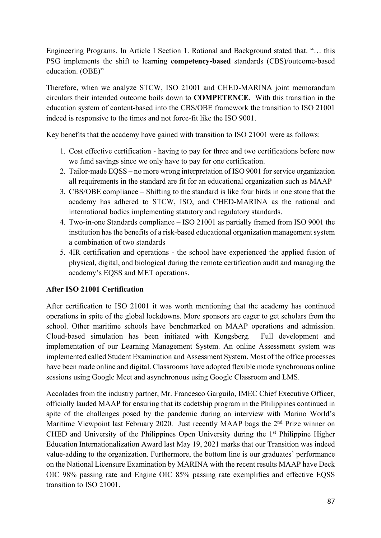Engineering Programs. In Article I Section 1. Rational and Background stated that. "… this PSG implements the shift to learning **competency-based** standards (CBS)/outcome-based education. (OBE)"

Therefore, when we analyze STCW, ISO 21001 and CHED-MARINA joint memorandum circulars their intended outcome boils down to **COMPETENCE**. With this transition in the education system of content-based into the CBS/OBE framework the transition to ISO 21001 indeed is responsive to the times and not force-fit like the ISO 9001.

Key benefits that the academy have gained with transition to ISO 21001 were as follows:

- 1. Cost effective certification having to pay for three and two certifications before now we fund savings since we only have to pay for one certification.
- 2. Tailor-made EQSS no more wrong interpretation of ISO 9001 for service organization all requirements in the standard are fit for an educational organization such as MAAP
- 3. CBS/OBE compliance Shifting to the standard is like four birds in one stone that the academy has adhered to STCW, ISO, and CHED-MARINA as the national and international bodies implementing statutory and regulatory standards.
- 4. Two-in-one Standards compliance ISO 21001 as partially framed from ISO 9001 the institution has the benefits of a risk-based educational organization management system a combination of two standards
- 5. 4IR certification and operations the school have experienced the applied fusion of physical, digital, and biological during the remote certification audit and managing the academy's EQSS and MET operations.

# **After ISO 21001 Certification**

After certification to ISO 21001 it was worth mentioning that the academy has continued operations in spite of the global lockdowns. More sponsors are eager to get scholars from the school. Other maritime schools have benchmarked on MAAP operations and admission. Cloud-based simulation has been initiated with Kongsberg. Full development and implementation of our Learning Management System. An online Assessment system was implemented called Student Examination and Assessment System. Most of the office processes have been made online and digital. Classrooms have adopted flexible mode synchronous online sessions using Google Meet and asynchronous using Google Classroom and LMS.

Accolades from the industry partner, Mr. Francesco Garguilo, IMEC Chief Executive Officer, officially lauded MAAP for ensuring that its cadetship program in the Philippines continued in spite of the challenges posed by the pandemic during an interview with Marino World's Maritime Viewpoint last February 2020. Just recently MAAP bags the 2<sup>nd</sup> Prize winner on CHED and University of the Philippines Open University during the  $1<sup>st</sup>$  Philippine Higher Education Internationalization Award last May 19, 2021 marks that our Transition was indeed value-adding to the organization. Furthermore, the bottom line is our graduates' performance on the National Licensure Examination by MARINA with the recent results MAAP have Deck OIC 98% passing rate and Engine OIC 85% passing rate exemplifies and effective EQSS transition to ISO 21001.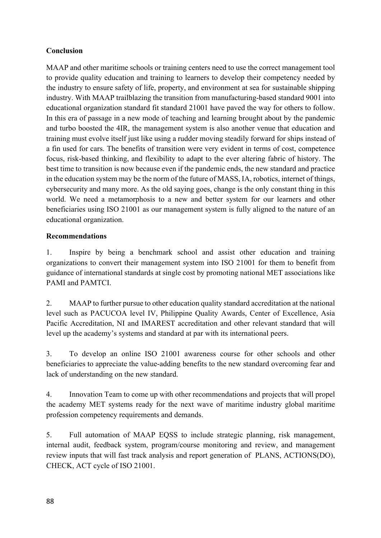# **Conclusion**

MAAP and other maritime schools or training centers need to use the correct management tool to provide quality education and training to learners to develop their competency needed by the industry to ensure safety of life, property, and environment at sea for sustainable shipping industry. With MAAP trailblazing the transition from manufacturing-based standard 9001 into educational organization standard fit standard 21001 have paved the way for others to follow. In this era of passage in a new mode of teaching and learning brought about by the pandemic and turbo boosted the 4IR, the management system is also another venue that education and training must evolve itself just like using a rudder moving steadily forward for ships instead of a fin used for cars. The benefits of transition were very evident in terms of cost, competence focus, risk-based thinking, and flexibility to adapt to the ever altering fabric of history. The best time to transition is now because even if the pandemic ends, the new standard and practice in the education system may be the norm of the future of MASS, IA, robotics, internet of things, cybersecurity and many more. As the old saying goes, change is the only constant thing in this world. We need a metamorphosis to a new and better system for our learners and other beneficiaries using ISO 21001 as our management system is fully aligned to the nature of an educational organization.

# **Recommendations**

1. Inspire by being a benchmark school and assist other education and training organizations to convert their management system into ISO 21001 for them to benefit from guidance of international standards at single cost by promoting national MET associations like PAMI and PAMTCI.

2. MAAP to further pursue to other education quality standard accreditation at the national level such as PACUCOA level IV, Philippine Quality Awards, Center of Excellence, Asia Pacific Accreditation, NI and IMAREST accreditation and other relevant standard that will level up the academy's systems and standard at par with its international peers.

3. To develop an online ISO 21001 awareness course for other schools and other beneficiaries to appreciate the value-adding benefits to the new standard overcoming fear and lack of understanding on the new standard.

4. Innovation Team to come up with other recommendations and projects that will propel the academy MET systems ready for the next wave of maritime industry global maritime profession competency requirements and demands.

5. Full automation of MAAP EQSS to include strategic planning, risk management, internal audit, feedback system, program/course monitoring and review, and management review inputs that will fast track analysis and report generation of PLANS, ACTIONS(DO), CHECK, ACT cycle of ISO 21001.